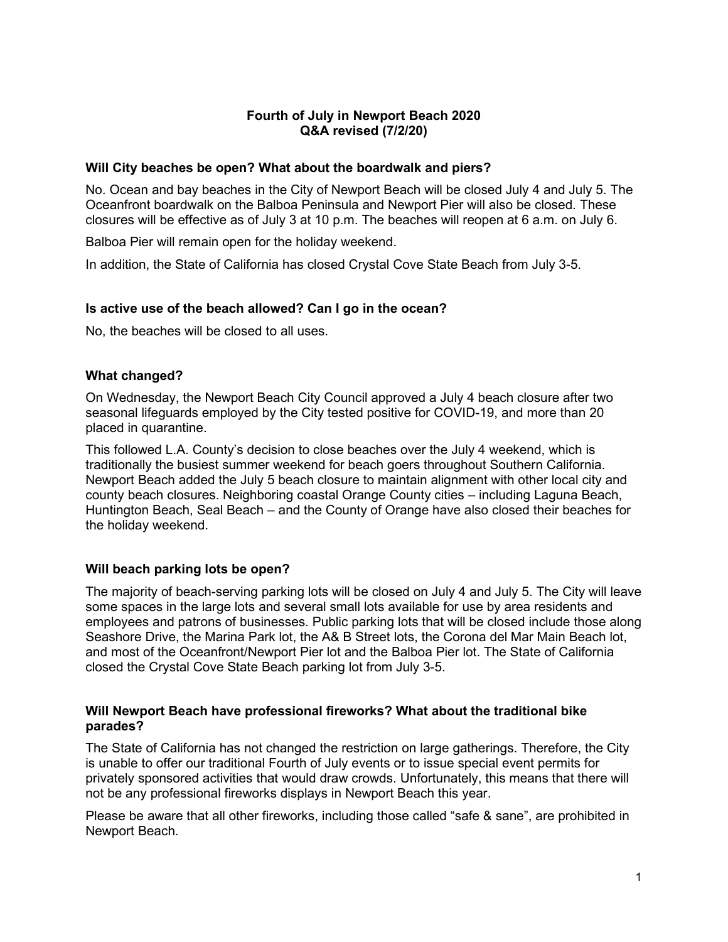# **Fourth of July in Newport Beach 2020 Q&A revised (7/2/20)**

### **Will City beaches be open? What about the boardwalk and piers?**

No. Ocean and bay beaches in the City of Newport Beach will be closed July 4 and July 5. The Oceanfront boardwalk on the Balboa Peninsula and Newport Pier will also be closed. These closures will be effective as of July 3 at 10 p.m. The beaches will reopen at 6 a.m. on July 6.

Balboa Pier will remain open for the holiday weekend.

In addition, the State of California has closed Crystal Cove State Beach from July 3-5.

# **Is active use of the beach allowed? Can I go in the ocean?**

No, the beaches will be closed to all uses.

# **What changed?**

On Wednesday, the Newport Beach City Council approved a July 4 beach closure after two seasonal lifeguards employed by the City tested positive for COVID-19, and more than 20 placed in quarantine.

This followed L.A. County's decision to close beaches over the July 4 weekend, which is traditionally the busiest summer weekend for beach goers throughout Southern California. Newport Beach added the July 5 beach closure to maintain alignment with other local city and county beach closures. Neighboring coastal Orange County cities – including Laguna Beach, Huntington Beach, Seal Beach – and the County of Orange have also closed their beaches for the holiday weekend.

# **Will beach parking lots be open?**

The majority of beach-serving parking lots will be closed on July 4 and July 5. The City will leave some spaces in the large lots and several small lots available for use by area residents and employees and patrons of businesses. Public parking lots that will be closed include those along Seashore Drive, the Marina Park lot, the A& B Street lots, the Corona del Mar Main Beach lot, and most of the Oceanfront/Newport Pier lot and the Balboa Pier lot. The State of California closed the Crystal Cove State Beach parking lot from July 3-5.

# **Will Newport Beach have professional fireworks? What about the traditional bike parades?**

The State of California has not changed the restriction on large gatherings. Therefore, the City is unable to offer our traditional Fourth of July events or to issue special event permits for privately sponsored activities that would draw crowds. Unfortunately, this means that there will not be any professional fireworks displays in Newport Beach this year.

Please be aware that all other fireworks, including those called "safe & sane", are prohibited in Newport Beach.